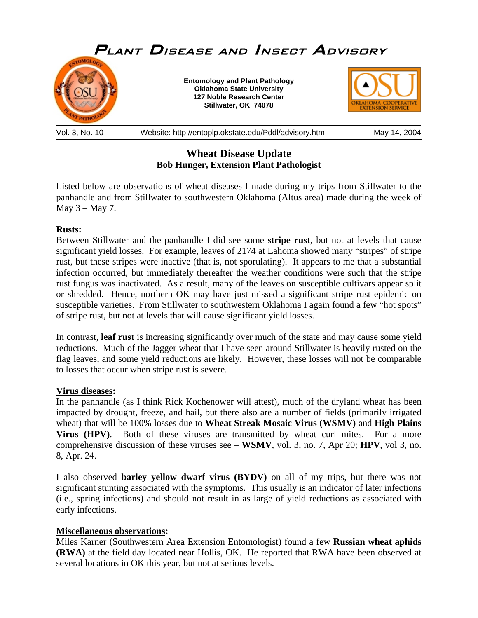

# **Wheat Disease Update Bob Hunger, Extension Plant Pathologist**

Listed below are observations of wheat diseases I made during my trips from Stillwater to the panhandle and from Stillwater to southwestern Oklahoma (Altus area) made during the week of May  $3 -$ May 7.

## **Rusts:**

Between Stillwater and the panhandle I did see some **stripe rust**, but not at levels that cause significant yield losses. For example, leaves of 2174 at Lahoma showed many "stripes" of stripe rust, but these stripes were inactive (that is, not sporulating). It appears to me that a substantial infection occurred, but immediately thereafter the weather conditions were such that the stripe rust fungus was inactivated. As a result, many of the leaves on susceptible cultivars appear split or shredded. Hence, northern OK may have just missed a significant stripe rust epidemic on susceptible varieties. From Stillwater to southwestern Oklahoma I again found a few "hot spots" of stripe rust, but not at levels that will cause significant yield losses.

In contrast, **leaf rust** is increasing significantly over much of the state and may cause some yield reductions. Much of the Jagger wheat that I have seen around Stillwater is heavily rusted on the flag leaves, and some yield reductions are likely. However, these losses will not be comparable to losses that occur when stripe rust is severe.

## **Virus diseases:**

In the panhandle (as I think Rick Kochenower will attest), much of the dryland wheat has been impacted by drought, freeze, and hail, but there also are a number of fields (primarily irrigated wheat) that will be 100% losses due to **Wheat Streak Mosaic Virus (WSMV)** and **High Plains Virus (HPV)**. Both of these viruses are transmitted by wheat curl mites. For a more comprehensive discussion of these viruses see – **WSMV**, vol. 3, no. 7, Apr 20; **HPV**, vol 3, no. 8, Apr. 24.

I also observed **barley yellow dwarf virus (BYDV)** on all of my trips, but there was not significant stunting associated with the symptoms. This usually is an indicator of later infections (i.e., spring infections) and should not result in as large of yield reductions as associated with early infections.

#### **Miscellaneous observations:**

Miles Karner (Southwestern Area Extension Entomologist) found a few **Russian wheat aphids (RWA)** at the field day located near Hollis, OK. He reported that RWA have been observed at several locations in OK this year, but not at serious levels.